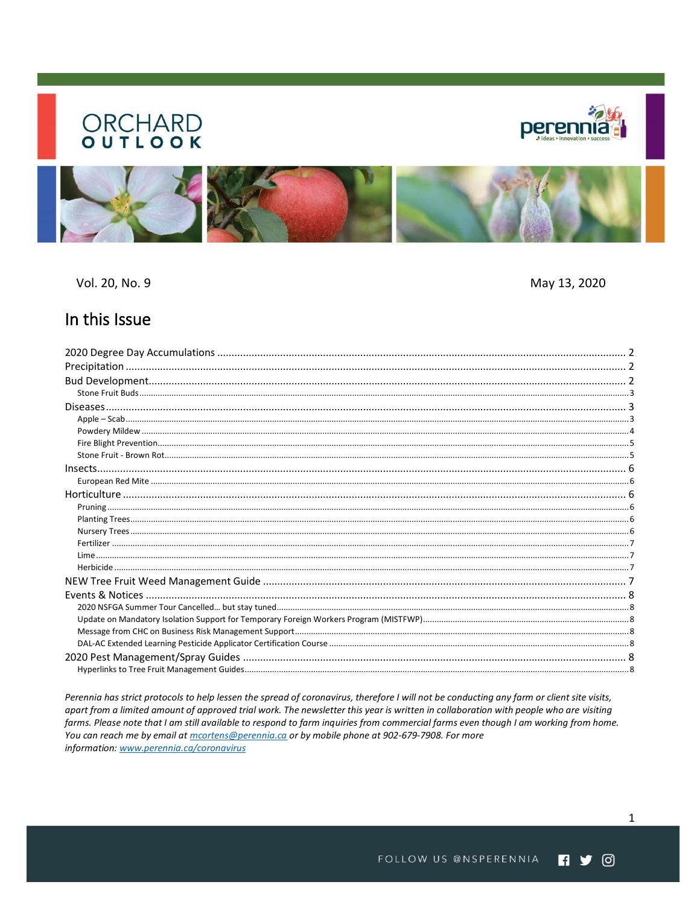# **ORCHARD**<br> **OUTLOOK**





Vol. 20, No. 9

May 13, 2020

## In this Issue

Perennia has strict protocols to help lessen the spread of coronavirus, therefore I will not be conducting any farm or client site visits, apart from a limited amount of approved trial work. The newsletter this year is written in collaboration with people who are visiting farms. Please note that I am still available to respond to farm inquiries from commercial farms even though I am working from home. You can reach me by email at mcortens@perennia.ca or by mobile phone at 902-679-7908. For more information: www.perennia.ca/coronavirus

 $\mathbf{1}$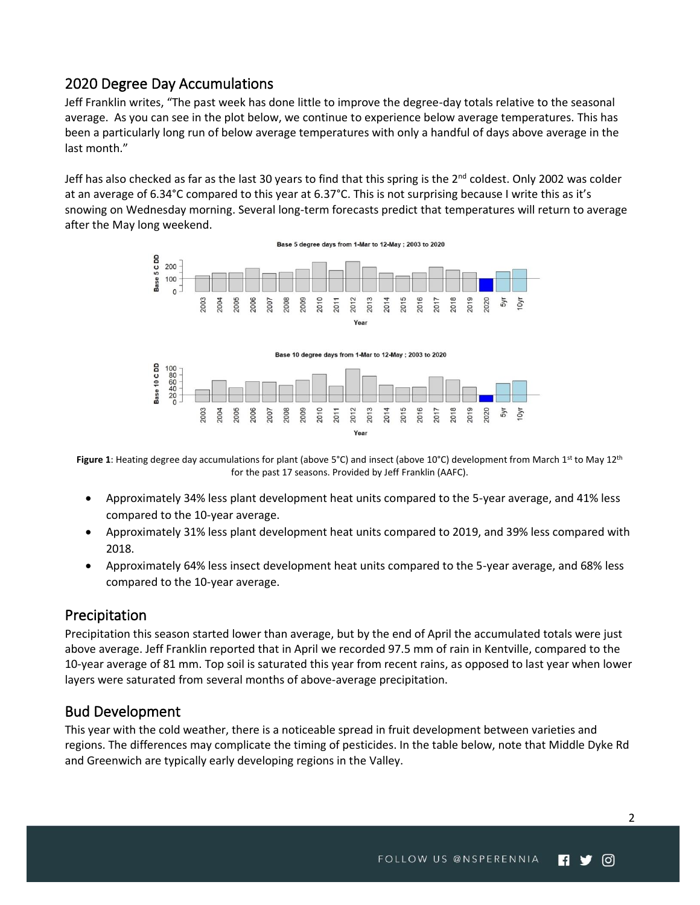## <span id="page-1-0"></span>2020 Degree Day Accumulations

Jeff Franklin writes, "The past week has done little to improve the degree-day totals relative to the seasonal average. As you can see in the plot below, we continue to experience below average temperatures. This has been a particularly long run of below average temperatures with only a handful of days above average in the last month."

Jeff has also checked as far as the last 30 years to find that this spring is the  $2^{nd}$  coldest. Only 2002 was colder at an average of 6.34°C compared to this year at 6.37°C. This is not surprising because I write this as it's snowing on Wednesday morning. Several long-term forecasts predict that temperatures will return to average after the May long weekend.



Figure 1: Heating degree day accumulations for plant (above 5°C) and insect (above 10°C) development from March 1<sup>st</sup> to May 12<sup>th</sup> for the past 17 seasons. Provided by Jeff Franklin (AAFC).

- Approximately 34% less plant development heat units compared to the 5-year average, and 41% less compared to the 10-year average.
- Approximately 31% less plant development heat units compared to 2019, and 39% less compared with 2018.
- Approximately 64% less insect development heat units compared to the 5-year average, and 68% less compared to the 10-year average.

## <span id="page-1-1"></span>Precipitation

Precipitation this season started lower than average, but by the end of April the accumulated totals were just above average. Jeff Franklin reported that in April we recorded 97.5 mm of rain in Kentville, compared to the 10-year average of 81 mm. Top soil is saturated this year from recent rains, as opposed to last year when lower layers were saturated from several months of above-average precipitation.

## <span id="page-1-2"></span>Bud Development

This year with the cold weather, there is a noticeable spread in fruit development between varieties and regions. The differences may complicate the timing of pesticides. In the table below, note that Middle Dyke Rd and Greenwich are typically early developing regions in the Valley.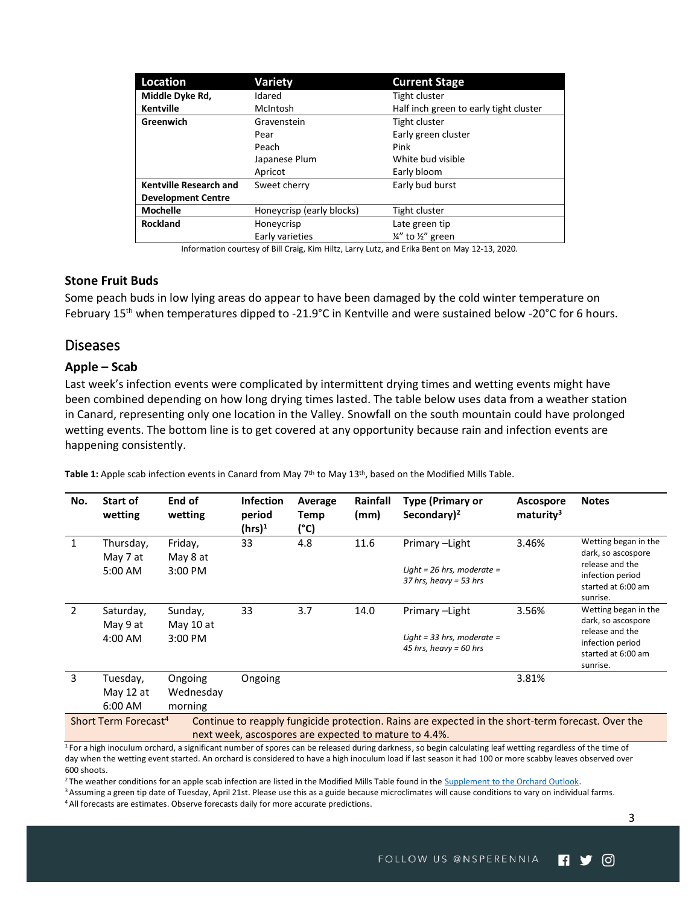| Location                      | <b>Variety</b>            | <b>Current Stage</b>                   |  |  |
|-------------------------------|---------------------------|----------------------------------------|--|--|
| Middle Dyke Rd,               | Idared                    | Tight cluster                          |  |  |
| <b>Kentville</b>              | McIntosh                  | Half inch green to early tight cluster |  |  |
| Greenwich                     | Gravenstein               | <b>Tight cluster</b>                   |  |  |
|                               | Pear                      | Early green cluster                    |  |  |
|                               | Peach                     | Pink                                   |  |  |
|                               | Japanese Plum             | White bud visible                      |  |  |
|                               | Apricot                   | Early bloom                            |  |  |
| <b>Kentville Research and</b> | Sweet cherry              | Early bud burst                        |  |  |
| <b>Development Centre</b>     |                           |                                        |  |  |
| <b>Mochelle</b>               | Honeycrisp (early blocks) | Tight cluster                          |  |  |
| <b>Rockland</b>               | Honeycrisp                | Late green tip                         |  |  |
|                               | Early varieties           | 1/4" to 1/2" green                     |  |  |

Information courtesy of Bill Craig, Kim Hiltz, Larry Lutz, and Erika Bent on May 12-13, 2020.

#### <span id="page-2-0"></span>**Stone Fruit Buds**

Some peach buds in low lying areas do appear to have been damaged by the cold winter temperature on February 15<sup>th</sup> when temperatures dipped to -21.9°C in Kentville and were sustained below -20°C for 6 hours.

## <span id="page-2-1"></span>Diseases

#### <span id="page-2-2"></span>**Apple – Scab**

Last week's infection events were complicated by intermittent drying times and wetting events might have been combined depending on how long drying times lasted. The table below uses data from a weather station in Canard, representing only one location in the Valley. Snowfall on the south mountain could have prolonged wetting events. The bottom line is to get covered at any opportunity because rain and infection events are happening consistently.

Table 1: Apple scab infection events in Canard from May 7<sup>th</sup> to May 13<sup>th</sup>, based on the Modified Mills Table.

| No.                                                                                                                                                                                                                                                           | <b>Start of</b><br>wetting | End of<br>wetting    | <b>Infection</b><br>period<br>$(hrs)^1$ | Average<br>Temp<br>(°C) | Rainfall<br>(mm) | Type (Primary or<br>Secondary) <sup>2</sup>            | <b>Ascospore</b><br>maturity <sup>3</sup> | <b>Notes</b>                                                                                |  |  |
|---------------------------------------------------------------------------------------------------------------------------------------------------------------------------------------------------------------------------------------------------------------|----------------------------|----------------------|-----------------------------------------|-------------------------|------------------|--------------------------------------------------------|-------------------------------------------|---------------------------------------------------------------------------------------------|--|--|
| 1                                                                                                                                                                                                                                                             | Thursday,                  | Friday,              | 33                                      | 4.8                     | 11.6             | Primary-Light                                          | 3.46%                                     | Wetting began in the<br>dark, so ascospore                                                  |  |  |
|                                                                                                                                                                                                                                                               | May 7 at<br>5:00 AM        | May 8 at<br>3:00 PM  |                                         |                         |                  | Light = 26 hrs, moderate =<br>$37$ hrs, heavy = 53 hrs |                                           | release and the<br>infection period<br>started at 6:00 am<br>sunrise.                       |  |  |
| $\mathcal{P}$                                                                                                                                                                                                                                                 | Saturday,                  | Sunday,              | 33                                      | 3.7                     | 14.0             | Primary-Light                                          | 3.56%                                     | Wetting began in the                                                                        |  |  |
|                                                                                                                                                                                                                                                               | May 9 at<br>4:00 AM        | May 10 at<br>3:00 PM |                                         |                         |                  | Light = 33 hrs, moderate =<br>45 hrs, heavy = 60 hrs   |                                           | dark, so ascospore<br>release and the<br>infection period<br>started at 6:00 am<br>sunrise. |  |  |
| 3                                                                                                                                                                                                                                                             | Tuesday,                   | Ongoing              | Ongoing                                 |                         |                  |                                                        | 3.81%                                     |                                                                                             |  |  |
|                                                                                                                                                                                                                                                               | May 12 at                  | Wednesday            |                                         |                         |                  |                                                        |                                           |                                                                                             |  |  |
|                                                                                                                                                                                                                                                               | 6:00 AM                    | morning              |                                         |                         |                  |                                                        |                                           |                                                                                             |  |  |
| Short Term Forecast <sup>4</sup><br>Continue to reapply fungicide protection. Rains are expected in the short-term forecast. Over the                                                                                                                         |                            |                      |                                         |                         |                  |                                                        |                                           |                                                                                             |  |  |
| next week, ascospores are expected to mature to 4.4%.                                                                                                                                                                                                         |                            |                      |                                         |                         |                  |                                                        |                                           |                                                                                             |  |  |
| $1.5$ big to the independent of $\alpha$ and $\alpha$ is compared to the process of the comparison of $\alpha$ and $\alpha$ is compared to the comparison of $\alpha$ is contained by $\alpha$ is contained by $\alpha$ is contained by $\alpha$ is contained |                            |                      |                                         |                         |                  |                                                        |                                           |                                                                                             |  |  |

<sup>1</sup> For a high inoculum orchard, a significant number of spores can be released during darkness, so begin calculating leaf wetting regardless of the time of day when the wetting event started. An orchard is considered to have a high inoculum load if last season it had 100 or more scabby leaves observed over 600 shoots.

<sup>2</sup> The weather conditions for an apple scab infection are listed in the Modified Mills Table found in the [Supplement to the Orchard Outlook.](https://www.perennia.ca/wp-content/uploads/2018/03/SUPPLEMENT-Orchard-Outlook-2019.pdf)

<sup>3</sup> Assuming a green tip date of Tuesday, April 21st. Please use this as a guide because microclimates will cause conditions to vary on individual farms.

<sup>4</sup> All forecasts are estimates. Observe forecasts daily for more accurate predictions.

3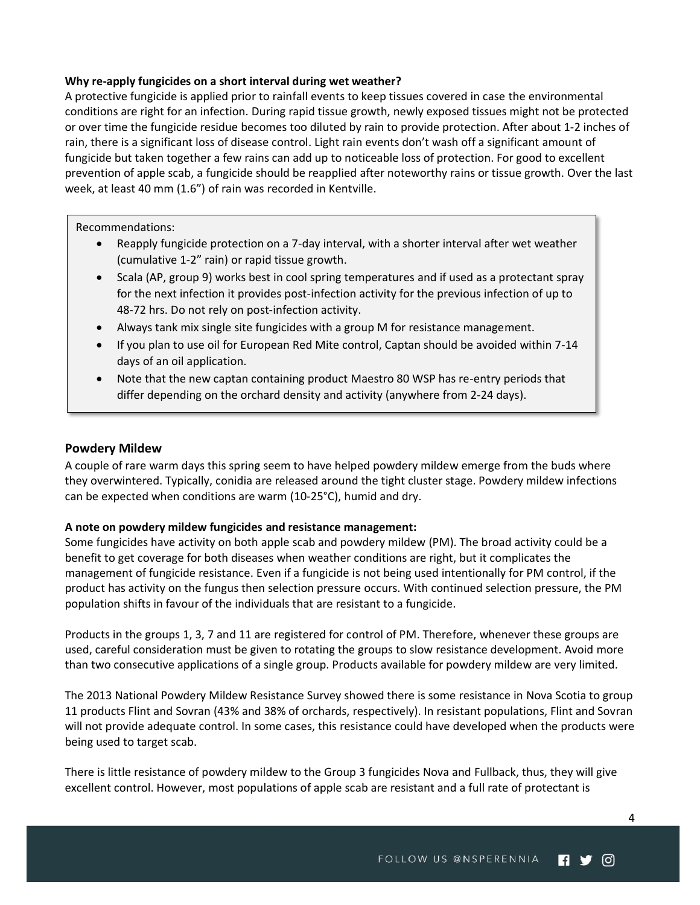#### **Why re-apply fungicides on a short interval during wet weather?**

A protective fungicide is applied prior to rainfall events to keep tissues covered in case the environmental conditions are right for an infection. During rapid tissue growth, newly exposed tissues might not be protected or over time the fungicide residue becomes too diluted by rain to provide protection. After about 1-2 inches of rain, there is a significant loss of disease control. Light rain events don't wash off a significant amount of fungicide but taken together a few rains can add up to noticeable loss of protection. For good to excellent prevention of apple scab, a fungicide should be reapplied after noteworthy rains or tissue growth. Over the last week, at least 40 mm (1.6") of rain was recorded in Kentville.

#### Recommendations:

- Reapply fungicide protection on a 7-day interval, with a shorter interval after wet weather (cumulative 1-2" rain) or rapid tissue growth.
- Scala (AP, group 9) works best in cool spring temperatures and if used as a protectant spray for the next infection it provides post-infection activity for the previous infection of up to 48-72 hrs. Do not rely on post-infection activity.
- Always tank mix single site fungicides with a group M for resistance management.
- If you plan to use oil for European Red Mite control, Captan should be avoided within 7-14 days of an oil application.
- Note that the new captan containing product Maestro 80 WSP has re-entry periods that differ depending on the orchard density and activity (anywhere from 2-24 days).

### <span id="page-3-0"></span>**Powdery Mildew**

A couple of rare warm days this spring seem to have helped powdery mildew emerge from the buds where they overwintered. Typically, conidia are released around the tight cluster stage. Powdery mildew infections can be expected when conditions are warm (10-25°C), humid and dry.

## **A note on powdery mildew fungicides and resistance management:**

Some fungicides have activity on both apple scab and powdery mildew (PM). The broad activity could be a benefit to get coverage for both diseases when weather conditions are right, but it complicates the management of fungicide resistance. Even if a fungicide is not being used intentionally for PM control, if the product has activity on the fungus then selection pressure occurs. With continued selection pressure, the PM population shifts in favour of the individuals that are resistant to a fungicide.

Products in the groups 1, 3, 7 and 11 are registered for control of PM. Therefore, whenever these groups are used, careful consideration must be given to rotating the groups to slow resistance development. Avoid more than two consecutive applications of a single group. Products available for powdery mildew are very limited.

The 2013 National Powdery Mildew Resistance Survey showed there is some resistance in Nova Scotia to group 11 products Flint and Sovran (43% and 38% of orchards, respectively). In resistant populations, Flint and Sovran will not provide adequate control. In some cases, this resistance could have developed when the products were being used to target scab.

There is little resistance of powdery mildew to the Group 3 fungicides Nova and Fullback, thus, they will give excellent control. However, most populations of apple scab are resistant and a full rate of protectant is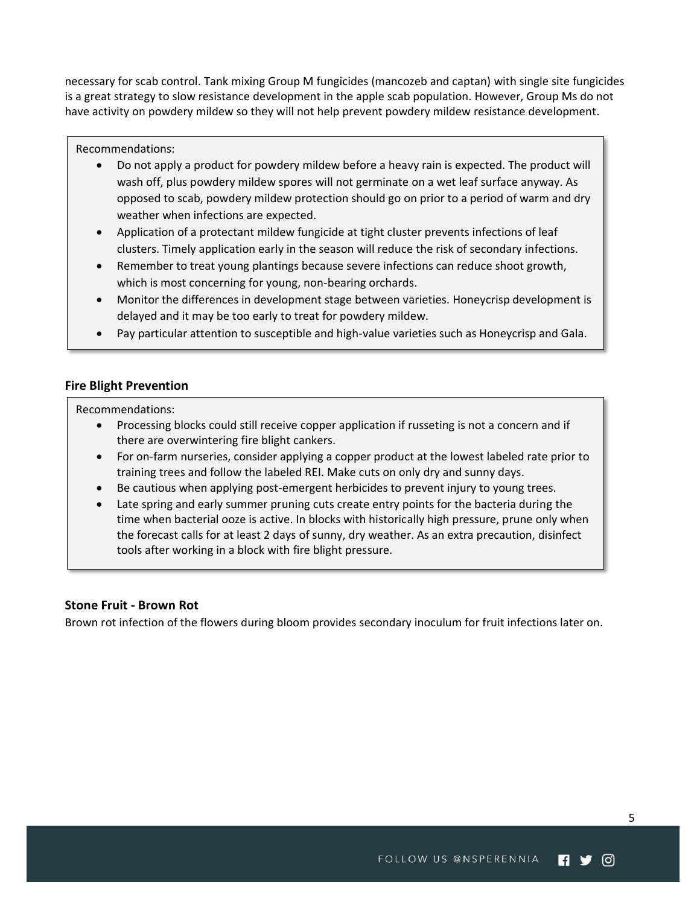necessary for scab control. Tank mixing Group M fungicides (mancozeb and captan) with single site fungicides is a great strategy to slow resistance development in the apple scab population. However, Group Ms do not have activity on powdery mildew so they will not help prevent powdery mildew resistance development.

#### Recommendations:

- Do not apply a product for powdery mildew before a heavy rain is expected. The product will wash off, plus powdery mildew spores will not germinate on a wet leaf surface anyway. As opposed to scab, powdery mildew protection should go on prior to a period of warm and dry weather when infections are expected.
- Application of a protectant mildew fungicide at tight cluster prevents infections of leaf clusters. Timely application early in the season will reduce the risk of secondary infections.
- Remember to treat young plantings because severe infections can reduce shoot growth, which is most concerning for young, non-bearing orchards.
- Monitor the differences in development stage between varieties. Honeycrisp development is delayed and it may be too early to treat for powdery mildew.
- Pay particular attention to susceptible and high-value varieties such as Honeycrisp and Gala.

## <span id="page-4-0"></span>**Fire Blight Prevention**

Recommendations:

- Processing blocks could still receive copper application if russeting is not a concern and if there are overwintering fire blight cankers.
- For on-farm nurseries, consider applying a copper product at the lowest labeled rate prior to training trees and follow the labeled REI. Make cuts on only dry and sunny days.
- Be cautious when applying post-emergent herbicides to prevent injury to young trees.
- Late spring and early summer pruning cuts create entry points for the bacteria during the time when bacterial ooze is active. In blocks with historically high pressure, prune only when the forecast calls for at least 2 days of sunny, dry weather. As an extra precaution, disinfect tools after working in a block with fire blight pressure.

## <span id="page-4-1"></span>**Stone Fruit - Brown Rot**

Brown rot infection of the flowers during bloom provides secondary inoculum for fruit infections later on.

5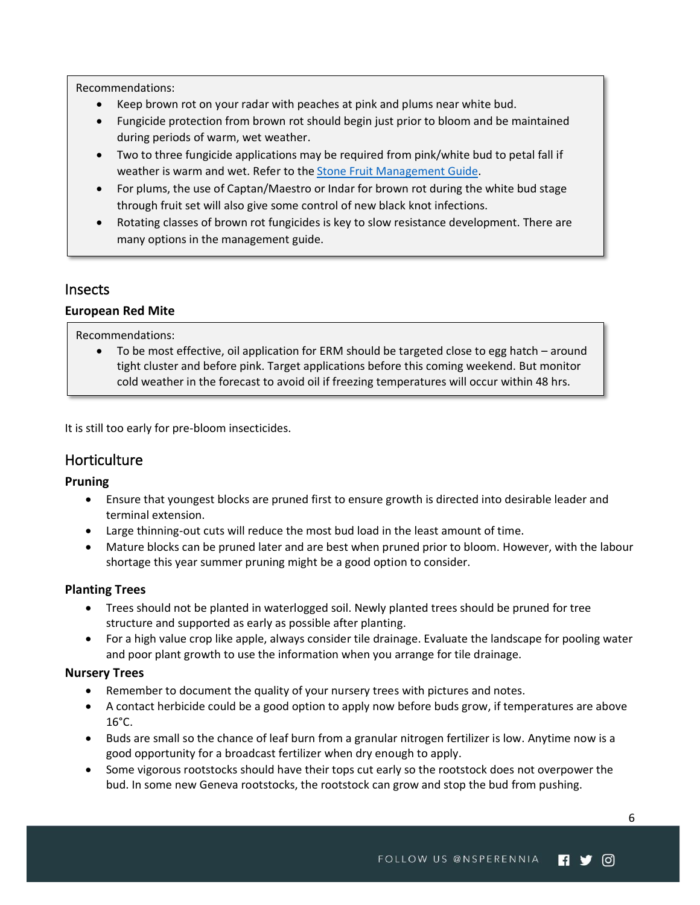Recommendations:

- Keep brown rot on your radar with peaches at pink and plums near white bud.
- Fungicide protection from brown rot should begin just prior to bloom and be maintained during periods of warm, wet weather.
- Two to three fungicide applications may be required from pink/white bud to petal fall if weather is warm and wet. Refer to th[e Stone Fruit Management Guide.](https://www.perennia.ca/wp-content/uploads/2020/04/2020-Stone-Fruit-Spray-Guide_Final.pdf)
- For plums, the use of Captan/Maestro or Indar for brown rot during the white bud stage through fruit set will also give some control of new black knot infections.
- Rotating classes of brown rot fungicides is key to slow resistance development. There are many options in the management guide.

## <span id="page-5-0"></span>Insects

## <span id="page-5-1"></span>**European Red Mite**

Recommendations:

• To be most effective, oil application for ERM should be targeted close to egg hatch – around tight cluster and before pink. Target applications before this coming weekend. But monitor cold weather in the forecast to avoid oil if freezing temperatures will occur within 48 hrs.

<span id="page-5-2"></span>It is still too early for pre-bloom insecticides.

## **Horticulture**

## <span id="page-5-3"></span>**Pruning**

- Ensure that youngest blocks are pruned first to ensure growth is directed into desirable leader and terminal extension.
- Large thinning-out cuts will reduce the most bud load in the least amount of time.
- Mature blocks can be pruned later and are best when pruned prior to bloom. However, with the labour shortage this year summer pruning might be a good option to consider.

## <span id="page-5-4"></span>**Planting Trees**

- Trees should not be planted in waterlogged soil. Newly planted trees should be pruned for tree structure and supported as early as possible after planting.
- For a high value crop like apple, always consider tile drainage. Evaluate the landscape for pooling water and poor plant growth to use the information when you arrange for tile drainage.

## <span id="page-5-5"></span>**Nursery Trees**

- Remember to document the quality of your nursery trees with pictures and notes.
- A contact herbicide could be a good option to apply now before buds grow, if temperatures are above 16°C.
- Buds are small so the chance of leaf burn from a granular nitrogen fertilizer is low. Anytime now is a good opportunity for a broadcast fertilizer when dry enough to apply.
- Some vigorous rootstocks should have their tops cut early so the rootstock does not overpower the bud. In some new Geneva rootstocks, the rootstock can grow and stop the bud from pushing.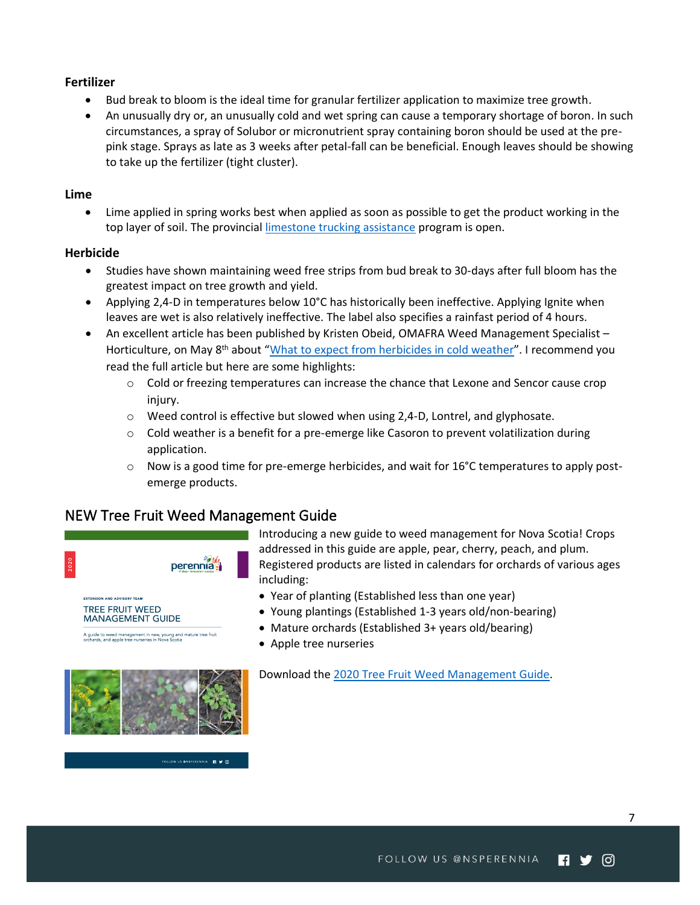## <span id="page-6-0"></span>**Fertilizer**

- Bud break to bloom is the ideal time for granular fertilizer application to maximize tree growth.
- An unusually dry or, an unusually cold and wet spring can cause a temporary shortage of boron. In such circumstances, a spray of Solubor or micronutrient spray containing boron should be used at the prepink stage. Sprays as late as 3 weeks after petal-fall can be beneficial. Enough leaves should be showing to take up the fertilizer (tight cluster).

## <span id="page-6-1"></span>**Lime**

• Lime applied in spring works best when applied as soon as possible to get the product working in the top layer of soil. The provincial [limestone trucking assistance](https://novascotia.ca/programs/limestone-trucking-assistance/) program is open.

#### <span id="page-6-2"></span>**Herbicide**

- Studies have shown maintaining weed free strips from bud break to 30-days after full bloom has the greatest impact on tree growth and yield.
- Applying 2,4-D in temperatures below 10°C has historically been ineffective. Applying Ignite when leaves are wet is also relatively ineffective. The label also specifies a rainfast period of 4 hours.
- An excellent article has been published by Kristen Obeid, OMAFRA Weed Management Specialist -Horticulture, on May 8<sup>th</sup> about "[What to expect from herbicides in cold weather](https://onfruit.wpcomstaging.com/2020/05/08/what-to-expect-from-herbicides-in-cold-weather/)". I recommend you read the full article but here are some highlights:
	- o Cold or freezing temperatures can increase the chance that Lexone and Sencor cause crop injury.
	- $\circ$  Weed control is effective but slowed when using 2,4-D, Lontrel, and glyphosate.
	- $\circ$  Cold weather is a benefit for a pre-emerge like Casoron to prevent volatilization during application.
	- $\circ$  Now is a good time for pre-emerge herbicides, and wait for 16°C temperatures to apply postemerge products.

## <span id="page-6-3"></span>NEW Tree Fruit Weed Management Guide



Introducing a new guide to weed management for Nova Scotia! Crops addressed in this guide are apple, pear, cherry, peach, and plum. Registered products are listed in calendars for orchards of various ages including:

- Year of planting (Established less than one year)
- Young plantings (Established 1-3 years old/non-bearing)
- Mature orchards (Established 3+ years old/bearing)
- Apple tree nurseries

Download the [2020 Tree Fruit Weed Management Guide.](https://www.perennia.ca/wp-content/uploads/2020/05/2020-Weed-Guide-Final.pdf)



FOLLOW US ONSPERENNIA **19 M** O

7

ര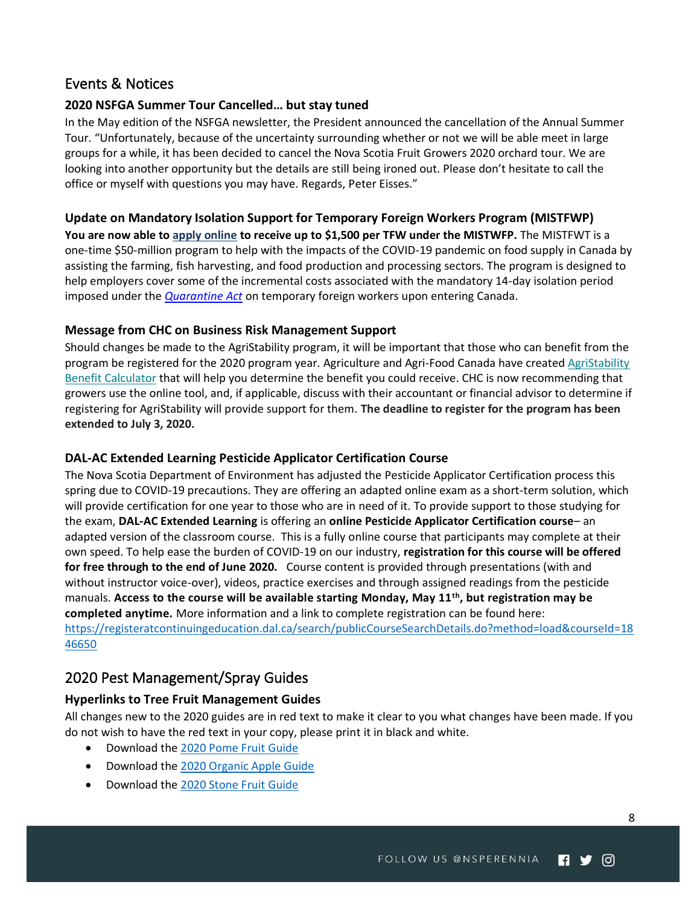## <span id="page-7-0"></span>Events & Notices

## <span id="page-7-1"></span>**2020 NSFGA Summer Tour Cancelled… but stay tuned**

In the May edition of the NSFGA newsletter, the President announced the cancellation of the Annual Summer Tour. "Unfortunately, because of the uncertainty surrounding whether or not we will be able meet in large groups for a while, it has been decided to cancel the Nova Scotia Fruit Growers 2020 orchard tour. We are looking into another opportunity but the details are still being ironed out. Please don't hesitate to call the office or myself with questions you may have. Regards, Peter Eisses."

## <span id="page-7-2"></span>**Update on Mandatory Isolation Support for Temporary Foreign Workers Program (MISTFWP)**

**You are now able to [apply online](http://www.agr.gc.ca/eng/agricultural-programs-and-services/mandatory-isolation-support-for-temporary-foreign-workers-program/?id=1588186409721) to receive up to \$1,500 per TFW under the MISTWFP.** The MISTFWT is a one-time \$50-million program to help with the impacts of the COVID-19 pandemic on food supply in Canada by assisting the farming, fish harvesting, and food production and processing sectors. The program is designed to help employers cover some of the incremental costs associated with the mandatory 14-day isolation period imposed under the *[Quarantine Act](https://laws-lois.justice.gc.ca/eng/acts/q-1.1/page-1.html)* on temporary foreign workers upon entering Canada.

## <span id="page-7-3"></span>**Message from CHC on Business Risk Management Support**

Should changes be made to the AgriStability program, it will be important that those who can benefit from the program be registered for the 2020 program year. Agriculture and Agri-Food Canada have created [AgriStability](https://hortcouncil.us5.list-manage.com/track/click?u=975fd26019fdc960f8be4c4f2&id=4e02dec5b3&e=2134d26620)  [Benefit Calculator](https://hortcouncil.us5.list-manage.com/track/click?u=975fd26019fdc960f8be4c4f2&id=4e02dec5b3&e=2134d26620) that will help you determine the benefit you could receive. CHC is now recommending that growers use the online tool, and, if applicable, discuss with their accountant or financial advisor to determine if registering for AgriStability will provide support for them. **The deadline to register for the program has been extended to July 3, 2020.**

## <span id="page-7-4"></span>**DAL-AC Extended Learning Pesticide Applicator Certification Course**

The Nova Scotia Department of Environment has adjusted the Pesticide Applicator Certification process this spring due to COVID-19 precautions. They are offering an adapted online exam as a short-term solution, which will provide certification for one year to those who are in need of it. To provide support to those studying for the exam, **DAL-AC Extended Learning** is offering an **online Pesticide Applicator Certification course**– an adapted version of the classroom course. This is a fully online course that participants may complete at their own speed. To help ease the burden of COVID-19 on our industry, **registration for this course will be offered for free through to the end of June 2020.** Course content is provided through presentations (with and without instructor voice-over), videos, practice exercises and through assigned readings from the pesticide manuals. **Access to the course will be available starting Monday, May 11th, but registration may be completed anytime.** More information and a link to complete registration can be found here: [https://registeratcontinuingeducation.dal.ca/search/publicCourseSearchDetails.do?method=load&courseId=18](https://registeratcontinuingeducation.dal.ca/search/publicCourseSearchDetails.do?method=load&courseId=1846650) [46650](https://registeratcontinuingeducation.dal.ca/search/publicCourseSearchDetails.do?method=load&courseId=1846650)

## <span id="page-7-5"></span>2020 Pest Management/Spray Guides

## <span id="page-7-6"></span>**Hyperlinks to Tree Fruit Management Guides**

All changes new to the 2020 guides are in red text to make it clear to you what changes have been made. If you do not wish to have the red text in your copy, please print it in black and white.

- Download the [2020 Pome Fruit Guide](https://www.perennia.ca/wp-content/uploads/2020/04/2020-Pome-Fruit-Spray-Guide_Final.pdf)
- Download the [2020 Organic Apple Guide](https://www.perennia.ca/wp-content/uploads/2020/04/2020-Organic-Spray-Guide_Final.pdf)
- Download the [2020 Stone Fruit Guide](https://www.perennia.ca/wp-content/uploads/2020/04/2020-Stone-Fruit-Spray-Guide_Final.pdf)